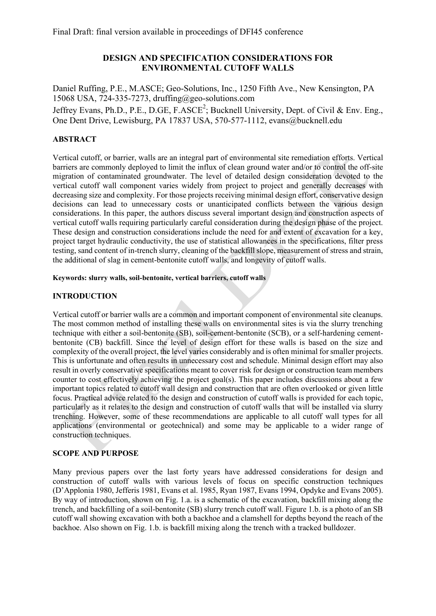# **DESIGN AND SPECIFICATION CONSIDERATIONS FOR ENVIRONMENTAL CUTOFF WALLS**

Daniel Ruffing, P.E., M.ASCE; Geo-Solutions, Inc., 1250 Fifth Ave., New Kensington, PA 15068 USA, 724-335-7273, druffing@geo-solutions.com Jeffrey Evans, Ph.D., P.E., D.GE, F.ASCE<sup>2</sup>; Bucknell University, Dept. of Civil & Env. Eng., One Dent Drive, Lewisburg, PA 17837 USA, 570-577-1112, evans@bucknell.edu

# **ABSTRACT**

Vertical cutoff, or barrier, walls are an integral part of environmental site remediation efforts. Vertical barriers are commonly deployed to limit the influx of clean ground water and/or to control the off-site migration of contaminated groundwater. The level of detailed design consideration devoted to the vertical cutoff wall component varies widely from project to project and generally decreases with decreasing size and complexity. For those projects receiving minimal design effort, conservative design decisions can lead to unnecessary costs or unanticipated conflicts between the various design considerations. In this paper, the authors discuss several important design and construction aspects of vertical cutoff walls requiring particularly careful consideration during the design phase of the project. These design and construction considerations include the need for and extent of excavation for a key, project target hydraulic conductivity, the use of statistical allowances in the specifications, filter press testing, sand content of in-trench slurry, cleaning of the backfill slope, measurement of stress and strain, the additional of slag in cement-bentonite cutoff walls, and longevity of cutoff walls.

#### **Keywords: slurry walls, soil-bentonite, vertical barriers, cutoff walls**

## **INTRODUCTION**

Vertical cutoff or barrier walls are a common and important component of environmental site cleanups. The most common method of installing these walls on environmental sites is via the slurry trenching technique with either a soil-bentonite (SB), soil-cement-bentonite (SCB), or a self-hardening cementbentonite (CB) backfill. Since the level of design effort for these walls is based on the size and complexity of the overall project, the level varies considerably and is often minimal for smaller projects. This is unfortunate and often results in unnecessary cost and schedule. Minimal design effort may also result in overly conservative specifications meant to cover risk for design or construction team members counter to cost effectively achieving the project goal(s). This paper includes discussions about a few important topics related to cutoff wall design and construction that are often overlooked or given little focus. Practical advice related to the design and construction of cutoff walls is provided for each topic, particularly as it relates to the design and construction of cutoff walls that will be installed via slurry trenching. However, some of these recommendations are applicable to all cutoff wall types for all applications (environmental or geotechnical) and some may be applicable to a wider range of construction techniques.

#### **SCOPE AND PURPOSE**

Many previous papers over the last forty years have addressed considerations for design and construction of cutoff walls with various levels of focus on specific construction techniques (D'Applonia 1980, Jefferis 1981, Evans et al. 1985, Ryan 1987, Evans 1994, Opdyke and Evans 2005). By way of introduction, shown on Fig. 1.a. is a schematic of the excavation, backfill mixing along the trench, and backfilling of a soil-bentonite (SB) slurry trench cutoff wall. Figure 1.b. is a photo of an SB cutoff wall showing excavation with both a backhoe and a clamshell for depths beyond the reach of the backhoe. Also shown on Fig. 1.b. is backfill mixing along the trench with a tracked bulldozer.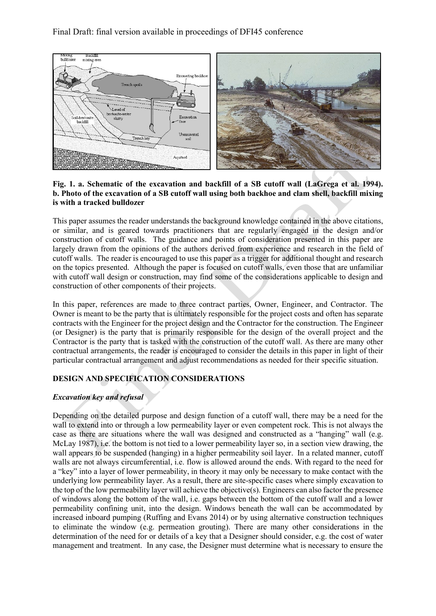# Final Draft: final version available in proceedings of DFI45 conference



### **Fig. 1. a. Schematic of the excavation and backfill of a SB cutoff wall (LaGrega et al. 1994). b. Photo of the excavation of a SB cutoff wall using both backhoe and clam shell, backfill mixing is with a tracked bulldozer**

This paper assumes the reader understands the background knowledge contained in the above citations, or similar, and is geared towards practitioners that are regularly engaged in the design and/or construction of cutoff walls. The guidance and points of consideration presented in this paper are largely drawn from the opinions of the authors derived from experience and research in the field of cutoff walls. The reader is encouraged to use this paper as a trigger for additional thought and research on the topics presented. Although the paper is focused on cutoff walls, even those that are unfamiliar with cutoff wall design or construction, may find some of the considerations applicable to design and construction of other components of their projects.

In this paper, references are made to three contract parties, Owner, Engineer, and Contractor. The Owner is meant to be the party that is ultimately responsible for the project costs and often has separate contracts with the Engineer for the project design and the Contractor for the construction. The Engineer (or Designer) is the party that is primarily responsible for the design of the overall project and the Contractor is the party that is tasked with the construction of the cutoff wall. As there are many other contractual arrangements, the reader is encouraged to consider the details in this paper in light of their particular contractual arrangement and adjust recommendations as needed for their specific situation.

# **DESIGN AND SPECIFICATION CONSIDERATIONS**

## *Excavation key and refusal*

Depending on the detailed purpose and design function of a cutoff wall, there may be a need for the wall to extend into or through a low permeability layer or even competent rock. This is not always the case as there are situations where the wall was designed and constructed as a "hanging" wall (e.g. McLay 1987), i.e. the bottom is not tied to a lower permeability layer so, in a section view drawing, the wall appears to be suspended (hanging) in a higher permeability soil layer. In a related manner, cutoff walls are not always circumferential, i.e. flow is allowed around the ends. With regard to the need for a "key" into a layer of lower permeability, in theory it may only be necessary to make contact with the underlying low permeability layer. As a result, there are site-specific cases where simply excavation to the top of the low permeability layer will achieve the objective(s). Engineers can also factor the presence of windows along the bottom of the wall, i.e. gaps between the bottom of the cutoff wall and a lower permeability confining unit, into the design. Windows beneath the wall can be accommodated by increased inboard pumping (Ruffing and Evans 2014) or by using alternative construction techniques to eliminate the window (e.g. permeation grouting). There are many other considerations in the determination of the need for or details of a key that a Designer should consider, e.g. the cost of water management and treatment. In any case, the Designer must determine what is necessary to ensure the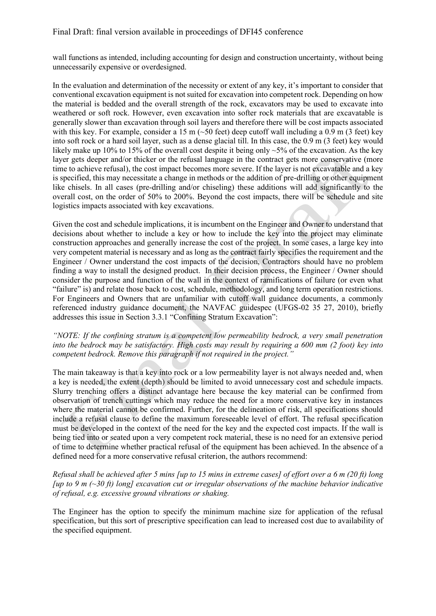wall functions as intended, including accounting for design and construction uncertainty, without being unnecessarily expensive or overdesigned.

In the evaluation and determination of the necessity or extent of any key, it's important to consider that conventional excavation equipment is not suited for excavation into competent rock. Depending on how the material is bedded and the overall strength of the rock, excavators may be used to excavate into weathered or soft rock. However, even excavation into softer rock materials that are excavatable is generally slower than excavation through soil layers and therefore there will be cost impacts associated with this key. For example, consider a 15 m  $(\sim 50 \text{ feet})$  deep cutoff wall including a 0.9 m (3 feet) key into soft rock or a hard soil layer, such as a dense glacial till. In this case, the 0.9 m (3 feet) key would likely make up 10% to 15% of the overall cost despite it being only  $\sim$ 5% of the excavation. As the key layer gets deeper and/or thicker or the refusal language in the contract gets more conservative (more time to achieve refusal), the cost impact becomes more severe. If the layer is not excavatable and a key is specified, this may necessitate a change in methods or the addition of pre-drilling or other equipment like chisels. In all cases (pre-drilling and/or chiseling) these additions will add significantly to the overall cost, on the order of 50% to 200%. Beyond the cost impacts, there will be schedule and site logistics impacts associated with key excavations.

Given the cost and schedule implications, it is incumbent on the Engineer and Owner to understand that decisions about whether to include a key or how to include the key into the project may eliminate construction approaches and generally increase the cost of the project. In some cases, a large key into very competent material is necessary and as long as the contract fairly specifies the requirement and the Engineer / Owner understand the cost impacts of the decision, Contractors should have no problem finding a way to install the designed product. In their decision process, the Engineer / Owner should consider the purpose and function of the wall in the context of ramifications of failure (or even what "failure" is) and relate those back to cost, schedule, methodology, and long term operation restrictions. For Engineers and Owners that are unfamiliar with cutoff wall guidance documents, a commonly referenced industry guidance document, the NAVFAC guidespec (UFGS-02 35 27, 2010), briefly addresses this issue in Section 3.3.1 "Confining Stratum Excavation":

### *"NOTE: If the confining stratum is a competent low permeability bedrock, a very small penetration into the bedrock may be satisfactory. High costs may result by requiring a 600 mm (2 foot) key into competent bedrock. Remove this paragraph if not required in the project."*

The main takeaway is that a key into rock or a low permeability layer is not always needed and, when a key is needed, the extent (depth) should be limited to avoid unnecessary cost and schedule impacts. Slurry trenching offers a distinct advantage here because the key material can be confirmed from observation of trench cuttings which may reduce the need for a more conservative key in instances where the material cannot be confirmed. Further, for the delineation of risk, all specifications should include a refusal clause to define the maximum foreseeable level of effort. The refusal specification must be developed in the context of the need for the key and the expected cost impacts. If the wall is being tied into or seated upon a very competent rock material, these is no need for an extensive period of time to determine whether practical refusal of the equipment has been achieved. In the absence of a defined need for a more conservative refusal criterion, the authors recommend:

### *Refusal shall be achieved after 5 mins [up to 15 mins in extreme cases] of effort over a 6 m (20 ft) long [up to 9 m (~30 ft) long] excavation cut or irregular observations of the machine behavior indicative of refusal, e.g. excessive ground vibrations or shaking.*

The Engineer has the option to specify the minimum machine size for application of the refusal specification, but this sort of prescriptive specification can lead to increased cost due to availability of the specified equipment.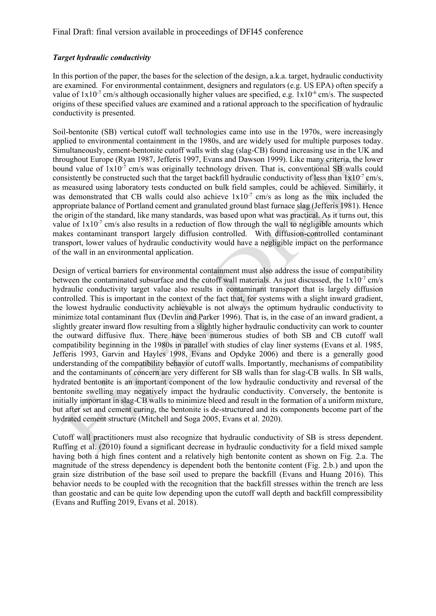### *Target hydraulic conductivity*

In this portion of the paper, the bases for the selection of the design, a.k.a. target, hydraulic conductivity are examined. For environmental containment, designers and regulators (e.g. US EPA) often specify a value of  $1x10^{-7}$  cm/s although occasionally higher values are specified, e.g.  $1x10^{-6}$  cm/s. The suspected origins of these specified values are examined and a rational approach to the specification of hydraulic conductivity is presented.

Soil-bentonite (SB) vertical cutoff wall technologies came into use in the 1970s, were increasingly applied to environmental containment in the 1980s, and are widely used for multiple purposes today. Simultaneously, cement-bentonite cutoff walls with slag (slag-CB) found increasing use in the UK and throughout Europe (Ryan 1987, Jefferis 1997, Evans and Dawson 1999). Like many criteria, the lower bound value of  $1x10^{-7}$  cm/s was originally technology driven. That is, conventional SB walls could consistently be constructed such that the target backfill hydraulic conductivity of less than  $1x10^{-7}$  cm/s, as measured using laboratory tests conducted on bulk field samples, could be achieved. Similarly, it was demonstrated that CB walls could also achieve  $1x10^{-7}$  cm/s as long as the mix included the appropriate balance of Portland cement and granulated ground blast furnace slag (Jefferis 1981). Hence the origin of the standard, like many standards, was based upon what was practical. As it turns out, this value of  $1x10<sup>-7</sup>$  cm/s also results in a reduction of flow through the wall to negligible amounts which makes contaminant transport largely diffusion controlled. With diffusion-controlled contaminant transport, lower values of hydraulic conductivity would have a negligible impact on the performance of the wall in an environmental application.

Design of vertical barriers for environmental containment must also address the issue of compatibility between the contaminated subsurface and the cutoff wall materials. As just discussed, the  $1x10^{-7}$  cm/s hydraulic conductivity target value also results in contaminant transport that is largely diffusion controlled. This is important in the context of the fact that, for systems with a slight inward gradient, the lowest hydraulic conductivity achievable is not always the optimum hydraulic conductivity to minimize total contaminant flux (Devlin and Parker 1996). That is, in the case of an inward gradient, a slightly greater inward flow resulting from a slightly higher hydraulic conductivity can work to counter the outward diffusive flux. There have been numerous studies of both SB and CB cutoff wall compatibility beginning in the 1980s in parallel with studies of clay liner systems (Evans et al. 1985, Jefferis 1993, Garvin and Hayles 1998, Evans and Opdyke 2006) and there is a generally good understanding of the compatibility behavior of cutoff walls. Importantly, mechanisms of compatibility and the contaminants of concern are very different for SB walls than for slag-CB walls. In SB walls, hydrated bentonite is an important component of the low hydraulic conductivity and reversal of the bentonite swelling may negatively impact the hydraulic conductivity. Conversely, the bentonite is initially important in slag-CB walls to minimize bleed and result in the formation of a uniform mixture, but after set and cement curing, the bentonite is de-structured and its components become part of the hydrated cement structure (Mitchell and Soga 2005, Evans et al. 2020).

Cutoff wall practitioners must also recognize that hydraulic conductivity of SB is stress dependent. Ruffing et al. (2010) found a significant decrease in hydraulic conductivity for a field mixed sample having both a high fines content and a relatively high bentonite content as shown on Fig. 2.a. The magnitude of the stress dependency is dependent both the bentonite content (Fig. 2.b.) and upon the grain size distribution of the base soil used to prepare the backfill (Evans and Huang 2016). This behavior needs to be coupled with the recognition that the backfill stresses within the trench are less than geostatic and can be quite low depending upon the cutoff wall depth and backfill compressibility (Evans and Ruffing 2019, Evans et al. 2018).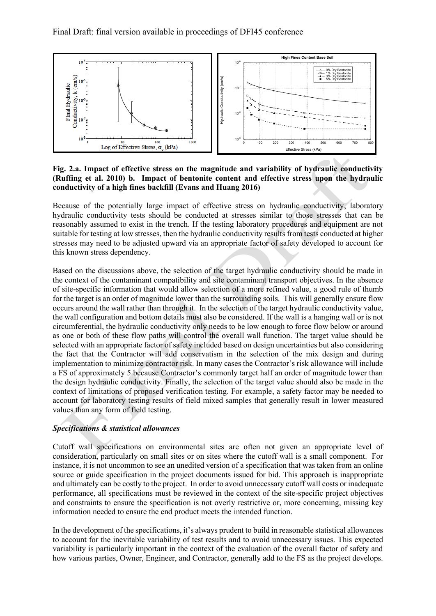

**Fig. 2.a. Impact of effective stress on the magnitude and variability of hydraulic conductivity (Ruffing et al. 2010) b. Impact of bentonite content and effective stress upon the hydraulic conductivity of a high fines backfill (Evans and Huang 2016)**

Because of the potentially large impact of effective stress on hydraulic conductivity, laboratory hydraulic conductivity tests should be conducted at stresses similar to those stresses that can be reasonably assumed to exist in the trench. If the testing laboratory procedures and equipment are not suitable for testing at low stresses, then the hydraulic conductivity results from tests conducted at higher stresses may need to be adjusted upward via an appropriate factor of safety developed to account for this known stress dependency.

Based on the discussions above, the selection of the target hydraulic conductivity should be made in the context of the contaminant compatibility and site contaminant transport objectives. In the absence of site-specific information that would allow selection of a more refined value, a good rule of thumb for the target is an order of magnitude lower than the surrounding soils. This will generally ensure flow occurs around the wall rather than through it. In the selection of the target hydraulic conductivity value, the wall configuration and bottom details must also be considered. If the wall is a hanging wall or is not circumferential, the hydraulic conductivity only needs to be low enough to force flow below or around as one or both of these flow paths will control the overall wall function. The target value should be selected with an appropriate factor of safety included based on design uncertainties but also considering the fact that the Contractor will add conservatism in the selection of the mix design and during implementation to minimize contractor risk. In many cases the Contractor's risk allowance will include a FS of approximately 5 because Contractor's commonly target half an order of magnitude lower than the design hydraulic conductivity. Finally, the selection of the target value should also be made in the context of limitations of proposed verification testing. For example, a safety factor may be needed to account for laboratory testing results of field mixed samples that generally result in lower measured values than any form of field testing.

## *Specifications & statistical allowances*

Cutoff wall specifications on environmental sites are often not given an appropriate level of consideration, particularly on small sites or on sites where the cutoff wall is a small component. For instance, it is not uncommon to see an unedited version of a specification that was taken from an online source or guide specification in the project documents issued for bid. This approach is inappropriate and ultimately can be costly to the project. In order to avoid unnecessary cutoff wall costs or inadequate performance, all specifications must be reviewed in the context of the site-specific project objectives and constraints to ensure the specification is not overly restrictive or, more concerning, missing key information needed to ensure the end product meets the intended function.

In the development of the specifications, it's always prudent to build in reasonable statistical allowances to account for the inevitable variability of test results and to avoid unnecessary issues. This expected variability is particularly important in the context of the evaluation of the overall factor of safety and how various parties, Owner, Engineer, and Contractor, generally add to the FS as the project develops.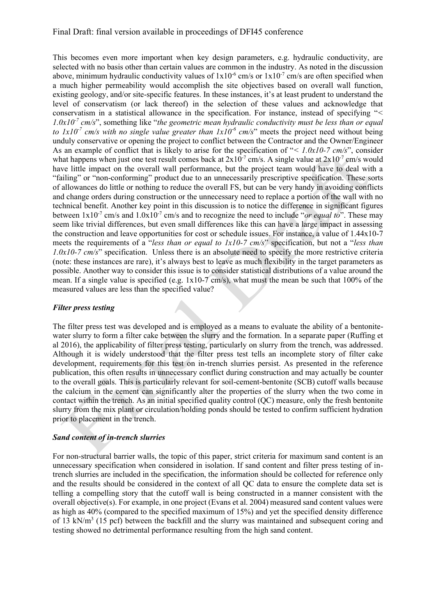### Final Draft: final version available in proceedings of DFI45 conference

This becomes even more important when key design parameters, e.g. hydraulic conductivity, are selected with no basis other than certain values are common in the industry. As noted in the discussion above, minimum hydraulic conductivity values of  $1x10^{-6}$  cm/s or  $1x10^{-7}$  cm/s are often specified when a much higher permeability would accomplish the site objectives based on overall wall function, existing geology, and/or site-specific features. In these instances, it's at least prudent to understand the level of conservatism (or lack thereof) in the selection of these values and acknowledge that conservatism in a statistical allowance in the specification. For instance, instead of specifying "*<*   $1.0x10<sup>7</sup>$  cm/s", something like "*the geometric mean hydraulic conductivity must be less than or equal to*  $1x10<sup>-7</sup>$  *cm/s with no single value greater than*  $1x10<sup>-6</sup>$  *cm/s*" meets the project need without being unduly conservative or opening the project to conflict between the Contractor and the Owner/Engineer As an example of conflict that is likely to arise for the specification of "*< 1.0x10-7 cm/s*", consider what happens when just one test result comes back at  $2x10^{-7}$  cm/s. A single value at  $2x10^{-7}$  cm/s would have little impact on the overall wall performance, but the project team would have to deal with a "failing" or "non-conforming" product due to an unnecessarily prescriptive specification. These sorts of allowances do little or nothing to reduce the overall FS, but can be very handy in avoiding conflicts and change orders during construction or the unnecessary need to replace a portion of the wall with no technical benefit. Another key point in this discussion is to notice the difference in significant figures between  $1x10^{-7}$  cm/s and  $1.0x10^{-7}$  cm/s and to recognize the need to include "*or equal to*". These may seem like trivial differences, but even small differences like this can have a large impact in assessing the construction and leave opportunities for cost or schedule issues. For instance, a value of 1.44x10-7 meets the requirements of a "*less than or equal to 1x10-7 cm/s*" specification, but not a "*less than 1.0x10-7 cm/s*" specification. Unless there is an absolute need to specify the more restrictive criteria (note: these instances are rare), it's always best to leave as much flexibility in the target parameters as possible. Another way to consider this issue is to consider statistical distributions of a value around the mean. If a single value is specified (e.g. 1x10-7 cm/s), what must the mean be such that 100% of the measured values are less than the specified value?

### *Filter press testing*

The filter press test was developed and is employed as a means to evaluate the ability of a bentonitewater slurry to form a filter cake between the slurry and the formation. In a separate paper (Ruffing et al 2016), the applicability of filter press testing, particularly on slurry from the trench, was addressed. Although it is widely understood that the filter press test tells an incomplete story of filter cake development, requirements for this test on in-trench slurries persist. As presented in the reference publication, this often results in unnecessary conflict during construction and may actually be counter to the overall goals. This is particularly relevant for soil-cement-bentonite (SCB) cutoff walls because the calcium in the cement can significantly alter the properties of the slurry when the two come in contact within the trench. As an initial specified quality control (QC) measure, only the fresh bentonite slurry from the mix plant or circulation/holding ponds should be tested to confirm sufficient hydration prior to placement in the trench.

#### *Sand content of in-trench slurries*

For non-structural barrier walls, the topic of this paper, strict criteria for maximum sand content is an unnecessary specification when considered in isolation. If sand content and filter press testing of intrench slurries are included in the specification, the information should be collected for reference only and the results should be considered in the context of all QC data to ensure the complete data set is telling a compelling story that the cutoff wall is being constructed in a manner consistent with the overall objective(s). For example, in one project (Evans et al. 2004) measured sand content values were as high as 40% (compared to the specified maximum of 15%) and yet the specified density difference of 13 kN/m<sup>3</sup> (15 pcf) between the backfill and the slurry was maintained and subsequent coring and testing showed no detrimental performance resulting from the high sand content.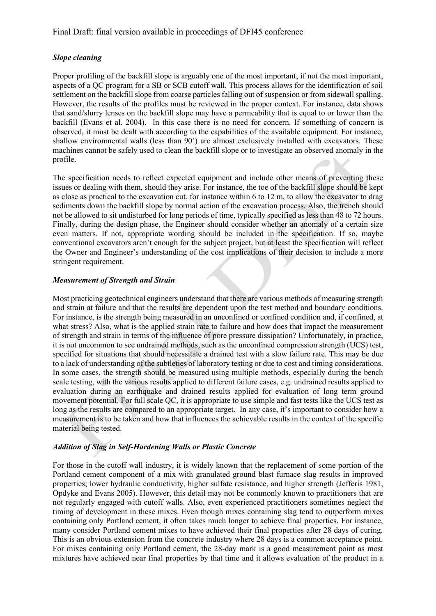## *Slope cleaning*

Proper profiling of the backfill slope is arguably one of the most important, if not the most important, aspects of a QC program for a SB or SCB cutoff wall. This process allows for the identification of soil settlement on the backfill slope from coarse particles falling out of suspension or from sidewall spalling. However, the results of the profiles must be reviewed in the proper context. For instance, data shows that sand/slurry lenses on the backfill slope may have a permeability that is equal to or lower than the backfill (Evans et al. 2004). In this case there is no need for concern. If something of concern is observed, it must be dealt with according to the capabilities of the available equipment. For instance, shallow environmental walls (less than 90') are almost exclusively installed with excavators. These machines cannot be safely used to clean the backfill slope or to investigate an observed anomaly in the profile.

The specification needs to reflect expected equipment and include other means of preventing these issues or dealing with them, should they arise. For instance, the toe of the backfill slope should be kept as close as practical to the excavation cut, for instance within 6 to 12 m, to allow the excavator to drag sediments down the backfill slope by normal action of the excavation process. Also, the trench should not be allowed to sit undisturbed for long periods of time, typically specified as less than 48 to 72 hours. Finally, during the design phase, the Engineer should consider whether an anomaly of a certain size even matters. If not, appropriate wording should be included in the specification. If so, maybe conventional excavators aren't enough for the subject project, but at least the specification will reflect the Owner and Engineer's understanding of the cost implications of their decision to include a more stringent requirement.

## *Measurement of Strength and Strain*

Most practicing geotechnical engineers understand that there are various methods of measuring strength and strain at failure and that the results are dependent upon the test method and boundary conditions. For instance, is the strength being measured in an unconfined or confined condition and, if confined, at what stress? Also, what is the applied strain rate to failure and how does that impact the measurement of strength and strain in terms of the influence of pore pressure dissipation? Unfortunately, in practice, it is not uncommon to see undrained methods, such as the unconfined compression strength (UCS) test, specified for situations that should necessitate a drained test with a slow failure rate. This may be due to a lack of understanding of the subtleties of laboratory testing or due to cost and timing considerations. In some cases, the strength should be measured using multiple methods, especially during the bench scale testing, with the various results applied to different failure cases, e.g. undrained results applied to evaluation during an earthquake and drained results applied for evaluation of long term ground movement potential. For full scale QC, it is appropriate to use simple and fast tests like the UCS test as long as the results are compared to an appropriate target. In any case, it's important to consider how a measurement is to be taken and how that influences the achievable results in the context of the specific material being tested.

## *Addition of Slag in Self-Hardening Walls or Plastic Concrete*

For those in the cutoff wall industry, it is widely known that the replacement of some portion of the Portland cement component of a mix with granulated ground blast furnace slag results in improved properties; lower hydraulic conductivity, higher sulfate resistance, and higher strength (Jefferis 1981, Opdyke and Evans 2005). However, this detail may not be commonly known to practitioners that are not regularly engaged with cutoff walls. Also, even experienced practitioners sometimes neglect the timing of development in these mixes. Even though mixes containing slag tend to outperform mixes containing only Portland cement, it often takes much longer to achieve final properties. For instance, many consider Portland cement mixes to have achieved their final properties after 28 days of curing. This is an obvious extension from the concrete industry where 28 days is a common acceptance point. For mixes containing only Portland cement, the 28-day mark is a good measurement point as most mixtures have achieved near final properties by that time and it allows evaluation of the product in a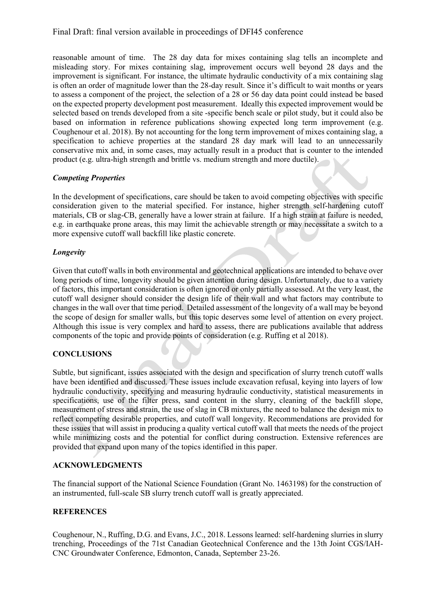reasonable amount of time. The 28 day data for mixes containing slag tells an incomplete and misleading story. For mixes containing slag, improvement occurs well beyond 28 days and the improvement is significant. For instance, the ultimate hydraulic conductivity of a mix containing slag is often an order of magnitude lower than the 28-day result. Since it's difficult to wait months or years to assess a component of the project, the selection of a 28 or 56 day data point could instead be based on the expected property development post measurement. Ideally this expected improvement would be selected based on trends developed from a site -specific bench scale or pilot study, but it could also be based on information in reference publications showing expected long term improvement (e.g. Coughenour et al. 2018). By not accounting for the long term improvement of mixes containing slag, a specification to achieve properties at the standard 28 day mark will lead to an unnecessarily conservative mix and, in some cases, may actually result in a product that is counter to the intended product (e.g. ultra-high strength and brittle vs. medium strength and more ductile).

## *Competing Properties*

In the development of specifications, care should be taken to avoid competing objectives with specific consideration given to the material specified. For instance, higher strength self-hardening cutoff materials, CB or slag-CB, generally have a lower strain at failure. If a high strain at failure is needed, e.g. in earthquake prone areas, this may limit the achievable strength or may necessitate a switch to a more expensive cutoff wall backfill like plastic concrete.

## *Longevity*

Given that cutoff walls in both environmental and geotechnical applications are intended to behave over long periods of time, longevity should be given attention during design. Unfortunately, due to a variety of factors, this important consideration is often ignored or only partially assessed. At the very least, the cutoff wall designer should consider the design life of their wall and what factors may contribute to changes in the wall over that time period. Detailed assessment of the longevity of a wall may be beyond the scope of design for smaller walls, but this topic deserves some level of attention on every project. Although this issue is very complex and hard to assess, there are publications available that address components of the topic and provide points of consideration (e.g. Ruffing et al 2018).

# **CONCLUSIONS**

Subtle, but significant, issues associated with the design and specification of slurry trench cutoff walls have been identified and discussed. These issues include excavation refusal, keying into layers of low hydraulic conductivity, specifying and measuring hydraulic conductivity, statistical measurements in specifications, use of the filter press, sand content in the slurry, cleaning of the backfill slope, measurement of stress and strain, the use of slag in CB mixtures, the need to balance the design mix to reflect competing desirable properties, and cutoff wall longevity. Recommendations are provided for these issues that will assist in producing a quality vertical cutoff wall that meets the needs of the project while minimizing costs and the potential for conflict during construction. Extensive references are provided that expand upon many of the topics identified in this paper.

## **ACKNOWLEDGMENTS**

The financial support of the National Science Foundation (Grant No. 1463198) for the construction of an instrumented, full-scale SB slurry trench cutoff wall is greatly appreciated.

## **REFERENCES**

Coughenour, N., Ruffing, D.G. and Evans, J.C., 2018. Lessons learned: self-hardening slurries in slurry trenching, Proceedings of the 71st Canadian Geotechnical Conference and the 13th Joint CGS/IAH-CNC Groundwater Conference, Edmonton, Canada, September 23-26.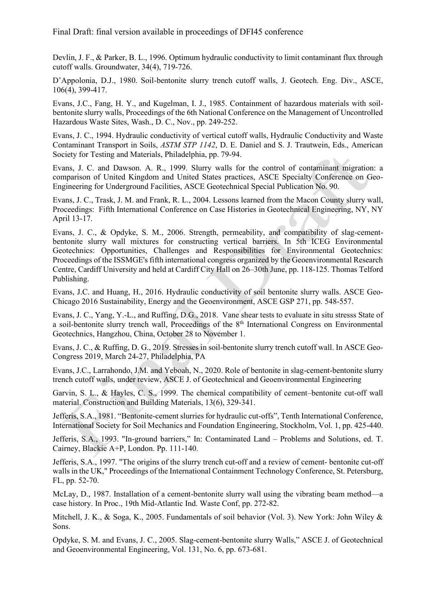Devlin, J. F., & Parker, B. L., 1996. Optimum hydraulic conductivity to limit contaminant flux through cutoff walls. Groundwater, 34(4), 719-726.

D'Appolonia, D.J., 1980. Soil-bentonite slurry trench cutoff walls, J. Geotech. Eng. Div., ASCE, 106(4), 399-417.

Evans, J.C., Fang, H. Y., and Kugelman, I. J., 1985. Containment of hazardous materials with soilbentonite slurry walls, Proceedings of the 6th National Conference on the Management of Uncontrolled Hazardous Waste Sites, Wash., D. C., Nov., pp. 249-252.

Evans, J. C., 1994. Hydraulic conductivity of vertical cutoff walls, Hydraulic Conductivity and Waste Contaminant Transport in Soils, *ASTM STP 1142*, D. E. Daniel and S. J. Trautwein, Eds., American Society for Testing and Materials, Philadelphia, pp. 79-94.

Evans, J. C. and Dawson. A. R., 1999. Slurry walls for the control of contaminant migration: a comparison of United Kingdom and United States practices, ASCE Specialty Conference on Geo-Engineering for Underground Facilities, ASCE Geotechnical Special Publication No. 90.

Evans, J. C., Trask, J. M. and Frank, R. L., 2004. Lessons learned from the Macon County slurry wall, Proceedings: Fifth International Conference on Case Histories in Geotechnical Engineering, NY, NY April 13-17.

Evans, J. C., & Opdyke, S. M., 2006. Strength, permeability, and compatibility of slag-cementbentonite slurry wall mixtures for constructing vertical barriers. In 5th ICEG Environmental Geotechnics: Opportunities, Challenges and Responsibilities for Environmental Geotechnics: Proceedings of the ISSMGE's fifth international congress organized by the Geoenvironmental Research Centre, Cardiff University and held at Cardiff City Hall on 26–30th June, pp. 118-125. Thomas Telford Publishing.

Evans, J.C. and Huang, H., 2016. Hydraulic conductivity of soil bentonite slurry walls. ASCE Geo-Chicago 2016 Sustainability, Energy and the Geoenvironment, ASCE GSP 271, pp. 548-557.

Evans, J. C., Yang, Y.-L., and Ruffing, D.G., 2018.Vane shear tests to evaluate in situ stresss State of a soil-bentonite slurry trench wall, Proceedings of the  $8<sup>th</sup>$  International Congress on Environmental Geotechnics, Hangzhou, China, October 28 to November 1.

Evans, J. C., & Ruffing, D. G., 2019. Stresses in soil-bentonite slurry trench cutoff wall. In ASCE Geo-Congress 2019, March 24-27, Philadelphia, PA

Evans, J.C., Larrahondo, J.M. and Yeboah, N., 2020. Role of bentonite in slag-cement-bentonite slurry trench cutoff walls, under review, ASCE J. of Geotechnical and Geoenvironmental Engineering

Garvin, S. L., & Hayles, C. S., 1999. The chemical compatibility of cement–bentonite cut-off wall material. Construction and Building Materials, 13(6), 329-341.

Jefferis, S.A., 1981. "Bentonite-cement slurries for hydraulic cut-offs", Tenth International Conference, International Society for Soil Mechanics and Foundation Engineering, Stockholm, Vol. 1, pp. 425-440.

Jefferis, S.A., 1993. "In-ground barriers," In: Contaminated Land – Problems and Solutions, ed. T. Cairney, Blackie A+P, London. Pp. 111-140.

Jefferis, S.A., 1997. "The origins of the slurry trench cut-off and a review of cement- bentonite cut-off walls in the UK," Proceedings of the International Containment Technology Conference, St. Petersburg, FL, pp. 52-70.

McLay, D., 1987. Installation of a cement-bentonite slurry wall using the vibrating beam method—a case history. In Proc., 19th Mid-Atlantic Ind. Waste Conf, pp. 272-82.

Mitchell, J. K., & Soga, K., 2005. Fundamentals of soil behavior (Vol. 3). New York: John Wiley & Sons.

Opdyke, S. M. and Evans, J. C., 2005. Slag-cement-bentonite slurry Walls," ASCE J. of Geotechnical and Geoenvironmental Engineering, Vol. 131, No. 6, pp. 673-681.